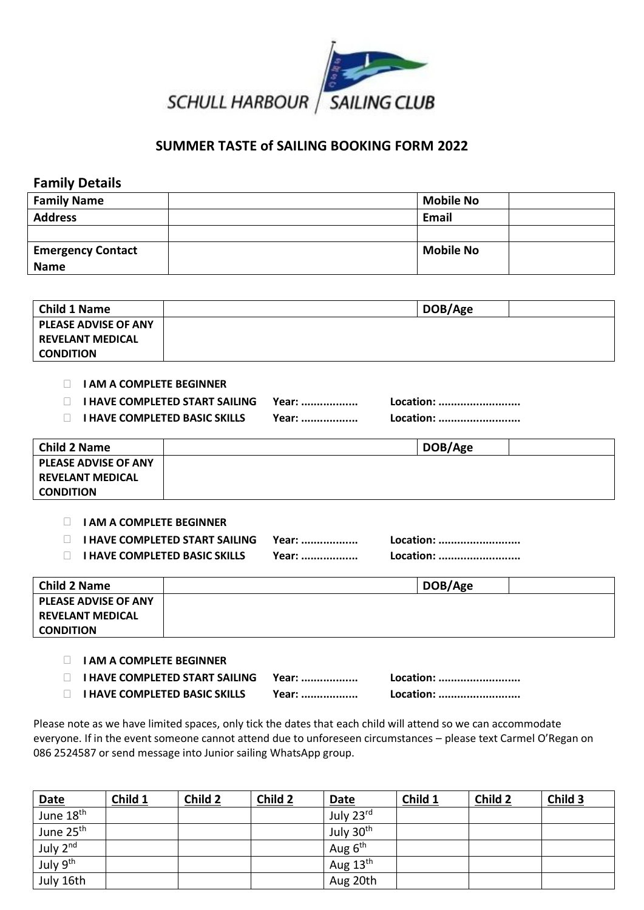

## **SUMMER TASTE of SAILING BOOKING FORM 2022**

## **Family Details**

| <b>Family Name</b>       | <b>Mobile No</b> |  |
|--------------------------|------------------|--|
| <b>Address</b>           | <b>Email</b>     |  |
|                          |                  |  |
| <b>Emergency Contact</b> | <b>Mobile No</b> |  |
| <b>Name</b>              |                  |  |

| <b>Child 1 Name</b>         | DOB/Age |
|-----------------------------|---------|
| <b>PLEASE ADVISE OF ANY</b> |         |
| <b>REVELANT MEDICAL</b>     |         |
| <b>CONDITION</b>            |         |

## **I AM A COMPLETE BEGINNER**

|  | <b>I HAVE COMPLETED START SAILING</b> | Year: |
|--|---------------------------------------|-------|
|--|---------------------------------------|-------|

**I HAVE COMPLETED BASIC SKILLS Year: .................. Location: ..........................**

**Location: ..........................** 

| <b>Child 2 Name</b>         | DOB/Age |
|-----------------------------|---------|
| <b>PLEASE ADVISE OF ANY</b> |         |
| <b>REVELANT MEDICAL</b>     |         |
| <b>CONDITION</b>            |         |

**I AM A COMPLETE BEGINNER** 

 **I HAVE COMPLETED START SAILING Year: .................. Location: .......................... I HAVE COMPLETED BASIC SKILLS Year: .................. Location: ..........................**

| <b>Child 2 Name</b>         | DOB/Age |  |
|-----------------------------|---------|--|
| <b>PLEASE ADVISE OF ANY</b> |         |  |
| <b>REVELANT MEDICAL</b>     |         |  |
| <b>CONDITION</b>            |         |  |
|                             |         |  |

**I AM A COMPLETE BEGINNER** 

| □ HAVE COMPLETED START SAILING Year: |       | Location: |
|--------------------------------------|-------|-----------|
| $\Box$ I HAVE COMPLETED BASIC SKILLS | Year: | Location: |

Please note as we have limited spaces, only tick the dates that each child will attend so we can accommodate everyone. If in the event someone cannot attend due to unforeseen circumstances – please text Carmel O'Regan on 086 2524587 or send message into Junior sailing WhatsApp group.

|                                                  | Child 1 | Child 2 | Child 2 | Date      | Child 1 | Child 2 | Child 3 |
|--------------------------------------------------|---------|---------|---------|-----------|---------|---------|---------|
| $\frac{\text{Date}}{\text{June }18^{\text{th}}}$ |         |         |         | July 23rd |         |         |         |
| June 25th                                        |         |         |         | July 30th |         |         |         |
| July 2nd                                         |         |         |         | Aug $6th$ |         |         |         |
| July 9th                                         |         |         |         | Aug 13th  |         |         |         |
| July 16th                                        |         |         |         | Aug 20th  |         |         |         |